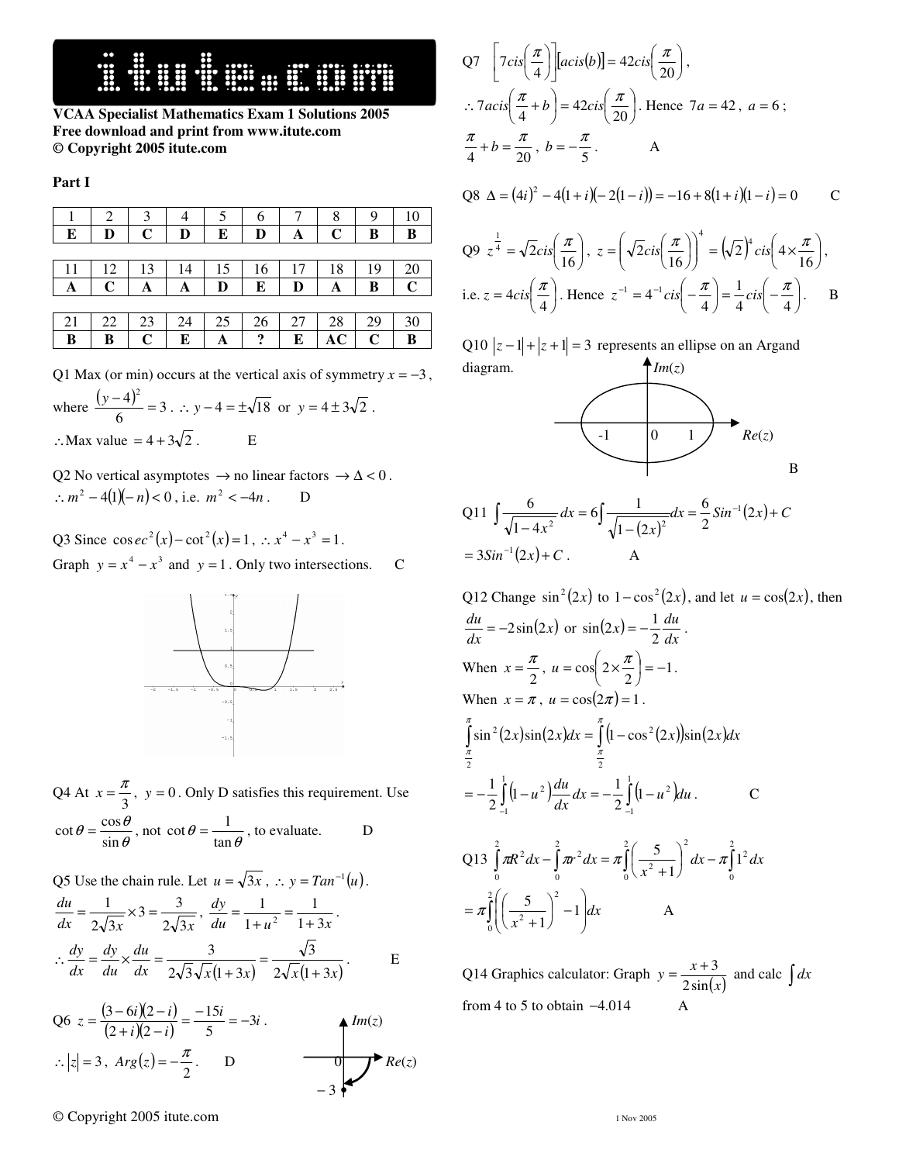**VCAA Specialist Mathematics Exam 1 Solutions 2005 Free download and print from www.itute.com © Copyright 2005 itute.com**

**Part I** 

|    | 2  |             |    | 5  | 6  |    | 8           | 9           |             |
|----|----|-------------|----|----|----|----|-------------|-------------|-------------|
| Е  | D  | C           | D  | E  | D  | A  | $\mathbf C$ | В           | B           |
|    |    |             |    |    |    |    |             |             |             |
|    | 12 | 13          | 14 | 15 | 16 |    | 18          | 19          | 20          |
| А  | C  | A           | A  | D  | E  | D  | A           | B           | $\mathbf C$ |
|    |    |             |    |    |    |    |             |             |             |
| 21 | 22 | 23          | 24 | 25 | 26 | 27 | 28          | 29          | 30          |
| B  | B  | $\mathbf C$ | E  | А  | ?  | E  | AC          | $\mathbf C$ | B           |

Q1 Max (or min) occurs at the vertical axis of symmetry  $x = -3$ ,

where 
$$
\frac{(y-4)^2}{6} = 3
$$
  $\therefore$   $y - 4 = \pm \sqrt{18}$  or  $y = 4 \pm 3\sqrt{2}$ .  
 $\therefore$  Max value = 4 + 3 $\sqrt{2}$ .

Q2 No vertical asymptotes  $\rightarrow$  no linear factors  $\rightarrow \Delta$  < 0.  $\therefore$   $m^2 - 4(1)(-n) < 0$ , i.e.  $m^2 < -4n$ . D

Q3 Since  $\cos e c^2(x) - \cot^2(x) = 1$ ,  $\therefore x^4 - x^3 = 1$ . Graph  $y = x^4 - x^3$  and  $y = 1$ . Only two intersections. C



Q4 At  $x = \frac{\pi}{3}$  $x = \frac{\pi}{2}$ ,  $y = 0$ . Only D satisfies this requirement. Use θ  $\theta = \frac{\cos \theta}{\sin \theta}$  $\cot \theta = \frac{\cos \theta}{\sin \theta}$ , not  $\cot \theta = \frac{1}{\tan \theta}$  $\cot \theta = \frac{1}{\cos \theta}$ , to evaluate. D

Q5 Use the chain rule. Let  $u = \sqrt{3x}$ ,  $\therefore$   $y = Tan^{-1}(u)$ . *dx*  $2\sqrt{3x}$   $2\sqrt{3x}$ *du*  $2\sqrt{3}$  $3 = \frac{3}{7}$  $2\sqrt{3}$  $=\frac{1}{2\sqrt{3x}} \times 3 = \frac{3}{2\sqrt{3x}}$ ,  $\frac{dy}{du} = \frac{1}{1+u^2} = \frac{1}{1+3x}$ *dy*  $1 + 3$ 1 1 1  $\frac{1}{2} = \frac{1}{1+1}$ +  $=\frac{1}{\sqrt{2}}=\frac{1}{\sqrt{2}}$ .  $dx = 2\sqrt{3}\sqrt{x}(1+3x) = 2\sqrt{x}(1+3x)$ *du du dy dx dy*  $2\sqrt{x}(1+3)$ 3  $2\sqrt{3}\sqrt{x}(1+3)$ 3 + = +  $\therefore \frac{dy}{dx} = \frac{dy}{dx} \times \frac{du}{dx} = \frac{dy}{dx} = \frac{dy}{dx} = \frac{dy}{dx}$ . E

Q6 
$$
z = \frac{(3-6i)(2-i)}{(2+i)(2-i)} = \frac{-15i}{5} = -3i
$$
.  
\n $\therefore |z| = 3$ ,  $Arg(z) = -\frac{\pi}{2}$ .  
\nD\n $\longrightarrow$   $Re(z)$ 

Q7 
$$
\left[7cis\left(\frac{\pi}{4}\right)\right]
$$
 [acis(b)] = 42cis $\left(\frac{\pi}{20}\right)$ ,  
\n $\therefore 7acis\left(\frac{\pi}{4} + b\right) = 42cis\left(\frac{\pi}{20}\right)$ . Hence  $7a = 42$ ,  $a = 6$ ;  
\n $\frac{\pi}{4} + b = \frac{\pi}{20}$ ,  $b = -\frac{\pi}{5}$ . A

$$
Q8 \ \Delta = (4i)^2 - 4(1+i)(-2(1-i)) = -16 + 8(1+i)(1-i) = 0
$$
 C

$$
Q9 \ z^{\frac{1}{4}} = \sqrt{2} \text{cis} \left( \frac{\pi}{16} \right), \ z = \left( \sqrt{2} \text{cis} \left( \frac{\pi}{16} \right) \right)^4 = \left( \sqrt{2} \right)^4 \text{cis} \left( 4 \times \frac{\pi}{16} \right),
$$
  
i.e.  $z = 4 \text{cis} \left( \frac{\pi}{4} \right)$ . Hence  $z^{-1} = 4^{-1} \text{cis} \left( -\frac{\pi}{4} \right) = \frac{1}{4} \text{cis} \left( -\frac{\pi}{4} \right)$ . B

Q10  $|z-1|+|z+1| = 3$  represents an ellipse on an Argand diagram.  $\bigoplus$  *Im(z)* 



Q11 
$$
\int \frac{6}{\sqrt{1-4x^2}} dx = 6 \int \frac{1}{\sqrt{1-(2x)^2}} dx = \frac{6}{2} Sin^{-1}(2x) + C
$$

$$
= 3Sin^{-1}(2x) + C.
$$

Q12 Change  $\sin^2(2x)$  to  $1-\cos^2(2x)$ , and let  $u = \cos(2x)$ , then  $\frac{du}{dx} = -2\sin(2x)$  $\frac{du}{dx} = -2\sin(2x)$  or  $\sin(2x) = -\frac{1}{2}\frac{du}{dx}$  $f(x) = -\frac{1}{2} \frac{du}{dx}$  $\sin(2x) = -\frac{1}{2}\frac{du}{dx}$ . When  $x = \frac{\pi}{2}$  $x = \frac{\pi}{2}, u = \cos\left(2 \times \frac{\pi}{2}\right) = -1$  $\left(2 \times \frac{\pi}{2}\right)$ l  $u = \cos\left(2 \times \frac{\pi}{2}\right) = -1$ . When  $x = \pi$ ,  $u = \cos(2\pi) = 1$ .  $\int_0^{\pi} \sin^2(2x) \sin(2x) dx = \int_0^{\pi} (1 - \cos^2(2x)) \sin(2x) dx$ π π π 2  $\sin^2(2x)\sin(2x)dx = \int (1-\cos^2(2x))\sin(2x)dx$ 2  $\int_{-1}^{1} (1 - u^2) \frac{du}{dx} dx = -\frac{1}{2} \int_{-1}^{1} (1 - u^2) dx$  $=-\frac{1}{2}\left[\left(1-u^2\right)\frac{du}{du}dx\right] = -\frac{1}{2}\left[\left(1-\frac{1}{2}\right)\right]$ 1 1  $\int_{1}^{1} (1 - u^2) du \, du = \frac{1}{2} \int_{1}^{1} (1 - u^2) du$ 1  $\int \frac{du}{dx} dx = -\frac{1}{2} \int_{-1}^{1} (1$  $\frac{1}{2}\int_{-1}^{1}(1-u^2)\frac{du}{dx}dx = -\frac{1}{2}$  $\frac{1}{2}\int_{-1}^{1}(1-u^2)\frac{du}{dx}dx=-\frac{1}{2}\int_{-1}^{1}(1-u^2)du$  $u^2\left(\frac{du}{dx}\right) = -\frac{1}{2}\int_0^1 (1-u^2)du$ . C Q13  $\int_{0} \pi R^2 dx - \int_{0} \pi r^2 dx = \pi \int_{0} \left( \frac{3}{x^2 + 1} \right) dx - \pi \int_{0}$  $\left(\frac{5}{2}\right)$ l ſ +  $-$  |  $\pi r^2 dx =$  $\int_{1}^{2} \left( 5 \right) \Big|_{\text{div}}^2 \frac{2}{\pi \int_{1}^{2} 1^2}$  $\boldsymbol{0}$  $\boldsymbol{0}$ 2  $\int \pi R^2 dx - \int \pi r^2 dx = \pi \int \left( -\frac{5}{r^2} \right)^2 dx - \pi \int \left( 1 + \frac{2}{r^2} \right) dx$  $\boldsymbol{0}$ 0 1  $\int d x - \pi \int 1^2 dx$ *x*  $\pi R^2 dx - |\pi r^2 dx = \pi | \frac{5}{2} | dx - \pi$  $\int \left| \frac{5}{r^2+1} \right|$  -1 J  $\backslash$ I  $\mathsf{I}$ ∖ ſ −  $\left(\frac{5}{2}\right)$ l ſ + = 2 0 2  $\frac{2}{2}$  | -1 1  $\left(\frac{5}{2}\right)^2 - 1 dx$ *x*  $\pi || \frac{1}{2} | -1 | dx$  A

Q14 Graphics calculator: Graph  $y = \frac{x+3}{2\sin(x)}$  $=\frac{x+3}{2\sin(x)}$  and calc  $\int dx$ from 4 to 5 to obtain  $-4.014$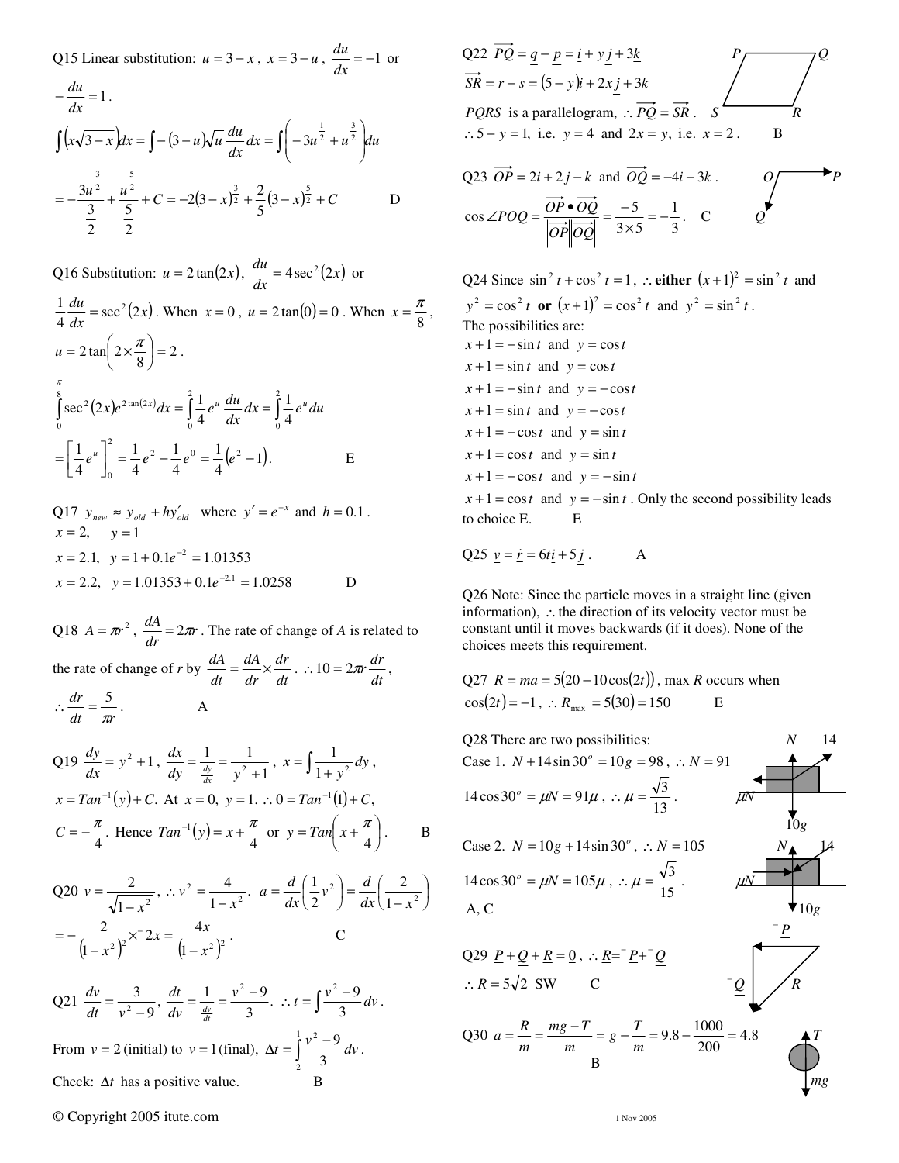Q15 Linear substitution:  $u = 3 - x$ ,  $x = 3 - u$ ,  $\frac{du}{dx} = -1$  $\frac{du}{dt} = -1$  or

$$
-\frac{du}{dx} = 1.
$$
  
\n
$$
\int (x\sqrt{3-x})dx = \int -(3-u)\sqrt{u} \frac{du}{dx} dx = \int \left(-3u^{\frac{1}{2}} + u^{\frac{3}{2}}\right) du
$$
  
\n
$$
= -\frac{3u^{\frac{3}{2}}}{\frac{3}{2}} + \frac{u^{\frac{5}{2}}}{\frac{5}{2}} + C = -2(3-x)^{\frac{3}{2}} + \frac{2}{5}(3-x)^{\frac{5}{2}} + C
$$

Q16 Substitution:  $u = 2 \tan(2x)$ ,  $\frac{du}{dx} = 4 \sec^2(2x)$  or  $\frac{du}{dx} = \sec^2(2x)$  $rac{1}{4}$   $rac{du}{dx}$  = sec<sup>2</sup>(2)  $\frac{1}{4}\frac{du}{dx} = \sec^2(2x)$ . When  $x = 0$ ,  $u = 2\tan(0) = 0$ . When  $x = \frac{\pi}{8}$  $x = \frac{\pi}{a},$  $2\tan \left(2 \times \frac{\pi}{8}\right) = 2$  $\left(2 \times \frac{\pi}{2}\right)$ l  $u = 2 \tan \left( 2 \times \frac{\pi}{\circ} \right) = 2$ .  $\int \sec^2(2x) e^{2\tan(2x)} dx = \int \frac{1}{4} e^u \frac{du}{dx} dx = \int$ 2 0 2 0 8 0  $2(\gamma_r)_c 2\tan(2)$ 4 1 4  $\sec^2(2x)e^{2\tan(2x)}dx = \int_{0}^{2}\frac{1}{4}e^{u}\frac{du}{dx}dx = \int_{0}^{2}\frac{1}{4}e^{u}du$  $f(x)e^{2\tan(2x)}dx = \int_{0}^{2} \frac{1}{t}e^{u} \frac{du}{dx}dx = \int_{0}^{2} \frac{1}{t}e^{u}$ π  $\frac{1}{4} (e^2 - 1).$ 1 4 1 4 1 4  $1 \left[ \begin{matrix} 2 \\ 1 \end{matrix} \right]^2 = \begin{matrix} 1 \end{matrix}$   $\begin{matrix} 2 \end{matrix}$   $\begin{matrix} 1 \end{matrix}$   $\begin{matrix} 0 \end{matrix} = \begin{matrix} 1 \end{matrix}$  $\boldsymbol{0}$  $\int_0^1 \frac{1}{4} e^2 - \frac{1}{4} e^0 = \frac{1}{4} (e^2 -$ 1 L  $=\left[\frac{1}{e^u}\right]^2 = \frac{1}{e^2}e^2 - \frac{1}{e^0}e^0 = \frac{1}{e^0}$  ${\bf E}$ 

Q17  $y_{new} \approx y_{old} + hy'_{old}$  where  $y' = e^{-x}$  and  $h = 0.1$ .  $x = 2, \quad y = 1$  $x = 2.1, y = 1 + 0.1e^{-2} = 1.01353$  $x = 2.2$ ,  $y = 1.01353 + 0.1e^{-2.1} = 1.0258$  D

Q18  $A = \pi r^2$ ,  $\frac{dA}{dr} = 2\pi r^2$  $\frac{dA}{dt} = 2\pi r$ . The rate of change of *A* is related to the rate of change of *r* by  $\frac{dH}{dt} = \frac{dH}{dr} \times \frac{dH}{dt}$ *dr dr dA dt*  $\frac{dA}{dt} = \frac{dA}{dr} \times \frac{dr}{dt}$ .  $\therefore 10 = 2\pi r \frac{dr}{dt}$ , *dt r dr*  $\therefore \frac{dr}{dt} = \frac{5}{\pi r}$ . A

Q19 
$$
\frac{dy}{dx} = y^2 + 1
$$
,  $\frac{dx}{dy} = \frac{1}{\frac{dy}{dx}} = \frac{1}{y^2 + 1}$ ,  $x = \int \frac{1}{1 + y^2} dy$ ,  
\n $x = Tan^{-1}(y) + C$ . At  $x = 0$ ,  $y = 1$ .  $\therefore 0 = Tan^{-1}(1) + C$ ,  
\n $C = -\frac{\pi}{4}$ . Hence  $Tan^{-1}(y) = x + \frac{\pi}{4}$  or  $y = Tan\left(x + \frac{\pi}{4}\right)$ .

Q20 
$$
v = \frac{2}{\sqrt{1 - x^2}}
$$
,  $\therefore v^2 = \frac{4}{1 - x^2}$ .  $a = \frac{d}{dx} \left(\frac{1}{2}v^2\right) = \frac{d}{dx} \left(\frac{2}{1 - x^2}\right)$   
=  $-\frac{2}{\left(1 - x^2\right)^2} \times 2x = \frac{4x}{\left(1 - x^2\right)^2}$ . C

 $Q21 \frac{av}{l} = \frac{3}{2}$ 9 3  $2$  –  $\frac{dv}{dt} = -\frac{v}{v}$  $\frac{dv}{dt} = \frac{3}{v^2 - 9}, \frac{dt}{dv} = \frac{1}{\frac{dv}{dt}} = \frac{v^2 - 9}{3}.$  $=\frac{1}{4}=\frac{v^2-9}{2}$ *dv dt*  $\frac{1}{\frac{dv}{dt}} = \frac{v^2 - 9}{3}$ ,  $\therefore t = \int \frac{v^2 - 9}{3} dv$  $\frac{2-9}{2}$  dv. From  $v = 2$  (initial) to  $v = 1$  (final),  $\Delta t = \int_0^1 \frac{v^2 - 1}{3}$ 1 2 2 3  $t = \int_0^1 \frac{v^2 - 9}{v^2} dv$ . Check:  $\Delta t$  has a positive value.

© Copyright 2005 itute.com 1 Nov 2005

Q22 
$$
\overrightarrow{PQ} = q - p = i + yj + 3k
$$
  
\n $\overrightarrow{SR} = r - s = (5 - y)i + 2xj + 3k$   
\n*PQRS* is a parallelogram,  $\therefore \overrightarrow{PQ} = \overrightarrow{SR}$ .  $s$   
\n $\therefore 5 - y = 1$ , i.e.  $y = 4$  and  $2x = y$ , i.e.  $x = 2$ .

Q23 
$$
\overrightarrow{OP} = 2\underline{i} + 2\underline{j} - \underline{k}
$$
 and  $\overrightarrow{OQ} = -4\underline{i} - 3\underline{k}$ .  
\n
$$
\cos \angle POQ = \frac{\overrightarrow{OP} \cdot \overrightarrow{OQ}}{|\overrightarrow{OP}||\overrightarrow{OQ}|} = \frac{-5}{3 \times 5} = -\frac{1}{3}. \quad C
$$

Q24 Since  $\sin^2 t + \cos^2 t = 1$ ,  $\therefore$  either  $(x+1)^2 = \sin^2 t$  and  $y^{2} = \cos^{2} t$  or  $(x+1)^{2} = \cos^{2} t$  and  $y^{2} = \sin^{2} t$ . The possibilities are:  $x+1 = -\sin t$  and  $y = \cos t$  $x+1 = \sin t$  and  $y = \cos t$  $x+1 = -\sin t$  and  $y = -\cos t$  $x + 1 = \sin t$  and  $y = -\cos t$  $x+1 = -\cos t$  and  $y = \sin t$  $x+1 = \cos t$  and  $y = \sin t$  $x+1 = -\cos t$  and  $y = -\sin t$  $x+1 = \cos t$  and  $y = -\sin t$ . Only the second possibility leads to choice E. E

$$
Q25 \underline{v} = \underline{\dot{r}} = 6t\underline{i} + 5j \ . \qquad A
$$

Q26 Note: Since the particle moves in a straight line (given information), ∴the direction of its velocity vector must be constant until it moves backwards (if it does). None of the choices meets this requirement.

Q27 
$$
R = ma = 5(20 - 10\cos(2t))
$$
, max R occurs when  
\n $\cos(2t) = -1$ ,  $\therefore R_{max} = 5(30) = 150$  E

Q28 There are two possibilities:  
\nCase 1. 
$$
N + 14 \sin 30^\circ = 10g = 98
$$
,  $\therefore N = 91$   
\n $14 \cos 30^\circ = \mu N = 91\mu$ ,  $\therefore \mu = \frac{\sqrt{3}}{13}$ .  
\nCase 2.  $N = 10g + 14 \sin 30^\circ$ ,  $\therefore N = 105$   
\n $14 \cos 30^\circ = \mu N = 105\mu$ ,  $\therefore \mu = \frac{\sqrt{3}}{15}$ .  
\nA, C  
\n $Q29 \underline{P} + \underline{Q} + \underline{R} = \underline{0}$ ,  $\therefore \underline{R} = \underline{P} + \underline{Q}$   
\n $\therefore \underline{R} = 5\sqrt{2}$  SW  
\n $Q30 \underline{a} = \frac{R}{m} = \frac{mg - T}{m} = g - \frac{T}{m} = 9.8 - \frac{1000}{200} = 4.8$   
\n $\frac{R}{mg}$